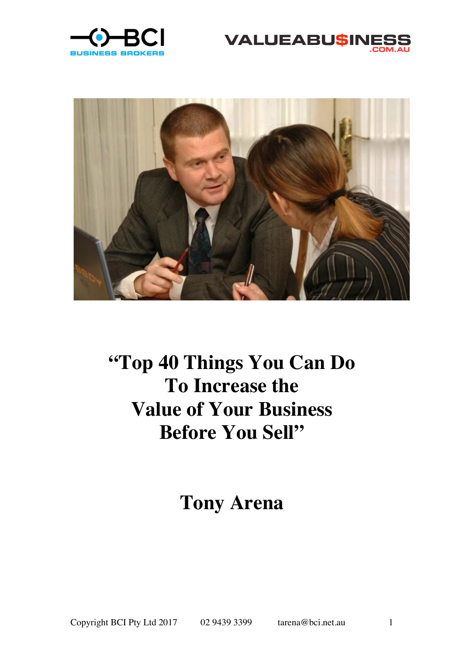





# **"Top 40 Things You Can Do To Increase the Value of Your Business Before You Sell"**

**Tony Arena**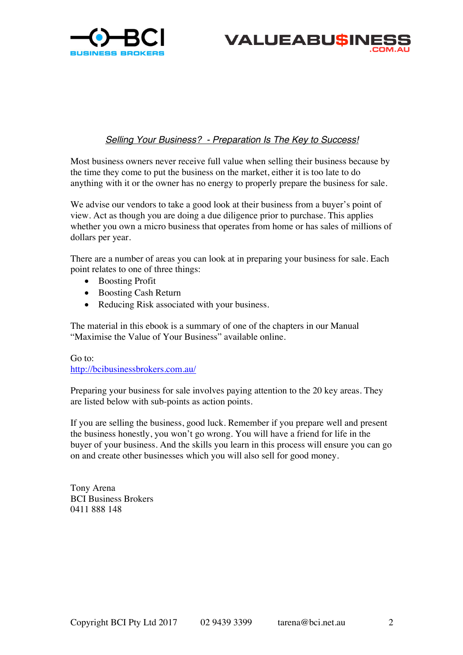



# *Selling Your Business? - Preparation Is The Key to Success!*

Most business owners never receive full value when selling their business because by the time they come to put the business on the market, either it is too late to do anything with it or the owner has no energy to properly prepare the business for sale.

We advise our vendors to take a good look at their business from a buyer's point of view. Act as though you are doing a due diligence prior to purchase. This applies whether you own a micro business that operates from home or has sales of millions of dollars per year.

There are a number of areas you can look at in preparing your business for sale. Each point relates to one of three things:

- Boosting Profit
- Boosting Cash Return
- Reducing Risk associated with your business.

The material in this ebook is a summary of one of the chapters in our Manual "Maximise the Value of Your Business" available online.

Go to: http://bcibusinessbrokers.com.au/

Preparing your business for sale involves paying attention to the 20 key areas. They are listed below with sub-points as action points.

If you are selling the business, good luck. Remember if you prepare well and present the business honestly, you won't go wrong. You will have a friend for life in the buyer of your business. And the skills you learn in this process will ensure you can go on and create other businesses which you will also sell for good money.

Tony Arena BCI Business Brokers 0411 888 148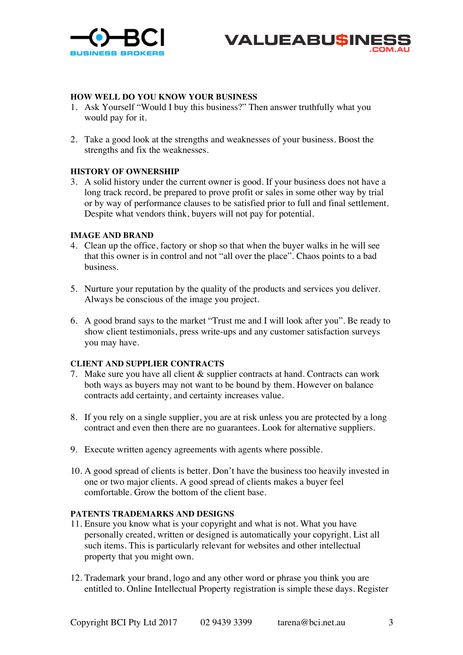



# **HOW WELL DO YOU KNOW YOUR BUSINESS**

- 1. Ask Yourself "Would I buy this business?" Then answer truthfully what you would pay for it.
- 2. Take a good look at the strengths and weaknesses of your business. Boost the strengths and fix the weaknesses.

# **HISTORY OF OWNERSHIP**

3. A solid history under the current owner is good. If your business does not have a long track record, be prepared to prove profit or sales in some other way by trial or by way of performance clauses to be satisfied prior to full and final settlement. Despite what vendors think, buyers will not pay for potential.

# **IMAGE AND BRAND**

- 4. Clean up the office, factory or shop so that when the buyer walks in he will see that this owner is in control and not "all over the place". Chaos points to a bad business.
- 5. Nurture your reputation by the quality of the products and services you deliver. Always be conscious of the image you project.
- 6. A good brand says to the market "Trust me and I will look after you". Be ready to show client testimonials, press write-ups and any customer satisfaction surveys you may have.

# **CLIENT AND SUPPLIER CONTRACTS**

- 7. Make sure you have all client & supplier contracts at hand. Contracts can work both ways as buyers may not want to be bound by them. However on balance contracts add certainty, and certainty increases value.
- 8. If you rely on a single supplier, you are at risk unless you are protected by a long contract and even then there are no guarantees. Look for alternative suppliers.
- 9. Execute written agency agreements with agents where possible.
- 10. A good spread of clients is better. Don't have the business too heavily invested in one or two major clients. A good spread of clients makes a buyer feel comfortable. Grow the bottom of the client base.

#### **PATENTS TRADEMARKS AND DESIGNS**

- 11. Ensure you know what is your copyright and what is not. What you have personally created, written or designed is automatically your copyright. List all such items. This is particularly relevant for websites and other intellectual property that you might own.
- 12. Trademark your brand, logo and any other word or phrase you think you are entitled to. Online Intellectual Property registration is simple these days. Register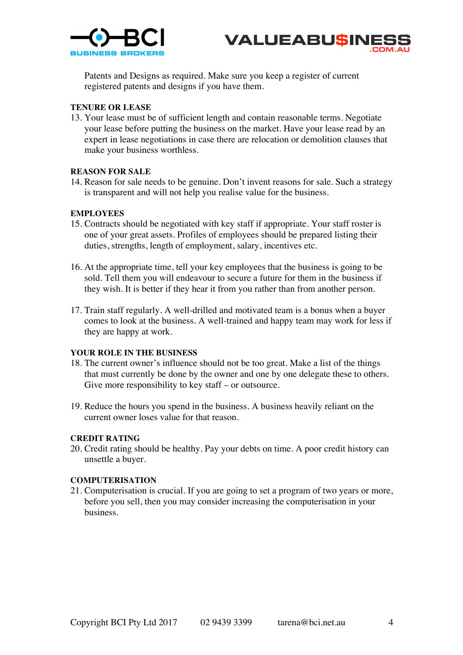



Patents and Designs as required. Make sure you keep a register of current registered patents and designs if you have them.

#### **TENURE OR LEASE**

13. Your lease must be of sufficient length and contain reasonable terms. Negotiate your lease before putting the business on the market. Have your lease read by an expert in lease negotiations in case there are relocation or demolition clauses that make your business worthless.

## **REASON FOR SALE**

14. Reason for sale needs to be genuine. Don't invent reasons for sale. Such a strategy is transparent and will not help you realise value for the business.

## **EMPLOYEES**

- 15. Contracts should be negotiated with key staff if appropriate. Your staff roster is one of your great assets. Profiles of employees should be prepared listing their duties, strengths, length of employment, salary, incentives etc.
- 16. At the appropriate time, tell your key employees that the business is going to be sold. Tell them you will endeavour to secure a future for them in the business if they wish. It is better if they hear it from you rather than from another person.
- 17. Train staff regularly. A well-drilled and motivated team is a bonus when a buyer comes to look at the business. A well-trained and happy team may work for less if they are happy at work.

## **YOUR ROLE IN THE BUSINESS**

- 18. The current owner's influence should not be too great. Make a list of the things that must currently be done by the owner and one by one delegate these to others. Give more responsibility to key staff – or outsource.
- 19. Reduce the hours you spend in the business. A business heavily reliant on the current owner loses value for that reason.

## **CREDIT RATING**

20. Credit rating should be healthy. Pay your debts on time. A poor credit history can unsettle a buyer.

#### **COMPUTERISATION**

21. Computerisation is crucial. If you are going to set a program of two years or more, before you sell, then you may consider increasing the computerisation in your business.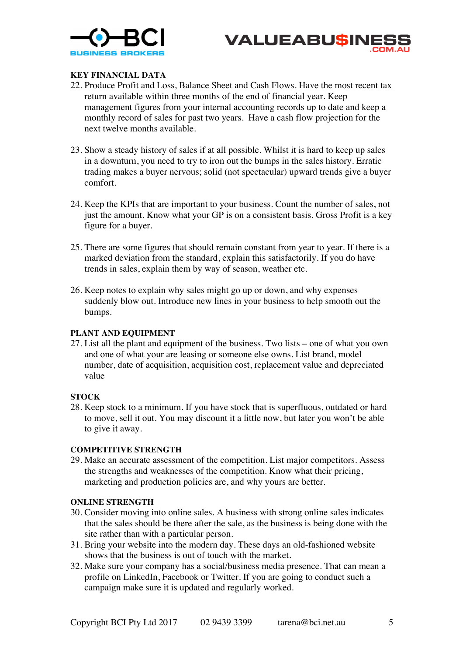



# **KEY FINANCIAL DATA**

- 22. Produce Profit and Loss, Balance Sheet and Cash Flows. Have the most recent tax return available within three months of the end of financial year. Keep management figures from your internal accounting records up to date and keep a monthly record of sales for past two years. Have a cash flow projection for the next twelve months available.
- 23. Show a steady history of sales if at all possible. Whilst it is hard to keep up sales in a downturn, you need to try to iron out the bumps in the sales history. Erratic trading makes a buyer nervous; solid (not spectacular) upward trends give a buyer comfort.
- 24. Keep the KPIs that are important to your business. Count the number of sales, not just the amount. Know what your GP is on a consistent basis. Gross Profit is a key figure for a buyer.
- 25. There are some figures that should remain constant from year to year. If there is a marked deviation from the standard, explain this satisfactorily. If you do have trends in sales, explain them by way of season, weather etc.
- 26. Keep notes to explain why sales might go up or down, and why expenses suddenly blow out. Introduce new lines in your business to help smooth out the bumps.

#### **PLANT AND EQUIPMENT**

27. List all the plant and equipment of the business. Two lists – one of what you own and one of what your are leasing or someone else owns. List brand, model number, date of acquisition, acquisition cost, replacement value and depreciated value

# **STOCK**

28. Keep stock to a minimum. If you have stock that is superfluous, outdated or hard to move, sell it out. You may discount it a little now, but later you won't be able to give it away.

#### **COMPETITIVE STRENGTH**

29. Make an accurate assessment of the competition. List major competitors. Assess the strengths and weaknesses of the competition. Know what their pricing, marketing and production policies are, and why yours are better.

#### **ONLINE STRENGTH**

- 30. Consider moving into online sales. A business with strong online sales indicates that the sales should be there after the sale, as the business is being done with the site rather than with a particular person.
- 31. Bring your website into the modern day. These days an old-fashioned website shows that the business is out of touch with the market.
- 32. Make sure your company has a social/business media presence. That can mean a profile on LinkedIn, Facebook or Twitter. If you are going to conduct such a campaign make sure it is updated and regularly worked.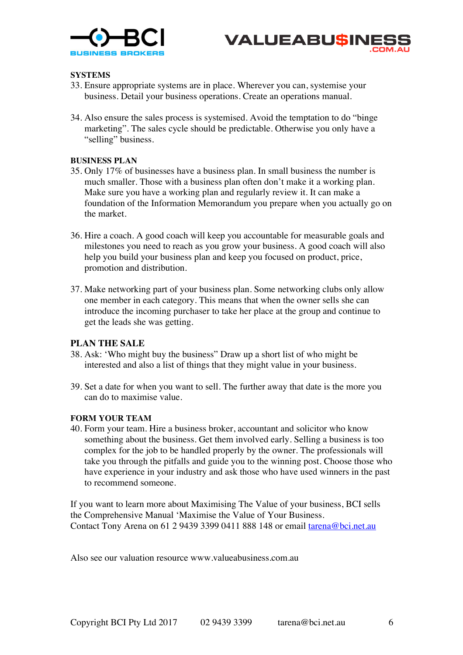



## **SYSTEMS**

- 33. Ensure appropriate systems are in place. Wherever you can, systemise your business. Detail your business operations. Create an operations manual.
- 34. Also ensure the sales process is systemised. Avoid the temptation to do "binge marketing". The sales cycle should be predictable. Otherwise you only have a "selling" business.

## **BUSINESS PLAN**

- 35. Only 17% of businesses have a business plan. In small business the number is much smaller. Those with a business plan often don't make it a working plan. Make sure you have a working plan and regularly review it. It can make a foundation of the Information Memorandum you prepare when you actually go on the market.
- 36. Hire a coach. A good coach will keep you accountable for measurable goals and milestones you need to reach as you grow your business. A good coach will also help you build your business plan and keep you focused on product, price, promotion and distribution.
- 37. Make networking part of your business plan. Some networking clubs only allow one member in each category. This means that when the owner sells she can introduce the incoming purchaser to take her place at the group and continue to get the leads she was getting.

#### **PLAN THE SALE**

- 38. Ask: 'Who might buy the business" Draw up a short list of who might be interested and also a list of things that they might value in your business.
- 39. Set a date for when you want to sell. The further away that date is the more you can do to maximise value.

#### **FORM YOUR TEAM**

40. Form your team. Hire a business broker, accountant and solicitor who know something about the business. Get them involved early. Selling a business is too complex for the job to be handled properly by the owner. The professionals will take you through the pitfalls and guide you to the winning post. Choose those who have experience in your industry and ask those who have used winners in the past to recommend someone.

If you want to learn more about Maximising The Value of your business, BCI sells the Comprehensive Manual 'Maximise the Value of Your Business. Contact Tony Arena on 61 2 9439 3399 0411 888 148 or email tarena@bci.net.au

Also see our valuation resource www.valueabusiness.com.au